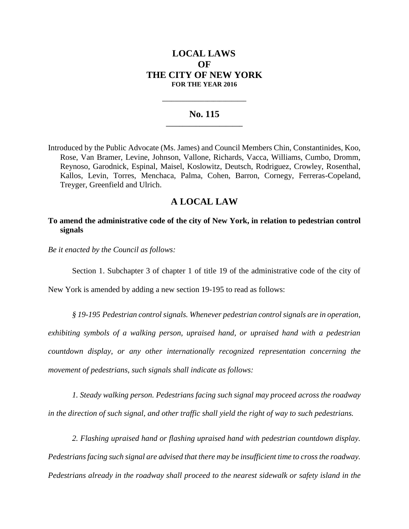# **LOCAL LAWS OF THE CITY OF NEW YORK FOR THE YEAR 2016**

## **No. 115 \_\_\_\_\_\_\_\_\_\_\_\_\_\_\_\_\_\_\_\_\_\_\_**

**\_\_\_\_\_\_\_\_\_\_\_\_\_\_\_\_\_\_\_\_\_\_\_\_\_\_\_\_**

Introduced by the Public Advocate (Ms. James) and Council Members Chin, Constantinides, Koo, Rose, Van Bramer, Levine, Johnson, Vallone, Richards, Vacca, Williams, Cumbo, Dromm, Reynoso, Garodnick, Espinal, Maisel, Koslowitz, Deutsch, Rodriguez, Crowley, Rosenthal, Kallos, Levin, Torres, Menchaca, Palma, Cohen, Barron, Cornegy, Ferreras-Copeland, Treyger, Greenfield and Ulrich.

## **A LOCAL LAW**

## **To amend the administrative code of the city of New York, in relation to pedestrian control signals**

*Be it enacted by the Council as follows:*

Section 1. Subchapter 3 of chapter 1 of title 19 of the administrative code of the city of

New York is amended by adding a new section 19-195 to read as follows:

*§ 19-195 Pedestrian control signals. Whenever pedestrian control signals are in operation, exhibiting symbols of a walking person, upraised hand, or upraised hand with a pedestrian countdown display, or any other internationally recognized representation concerning the movement of pedestrians, such signals shall indicate as follows:*

*1. Steady walking person. Pedestrians facing such signal may proceed across the roadway in the direction of such signal, and other traffic shall yield the right of way to such pedestrians.*

*2. Flashing upraised hand or flashing upraised hand with pedestrian countdown display. Pedestrians facing such signal are advised that there may be insufficient time to cross the roadway. Pedestrians already in the roadway shall proceed to the nearest sidewalk or safety island in the*